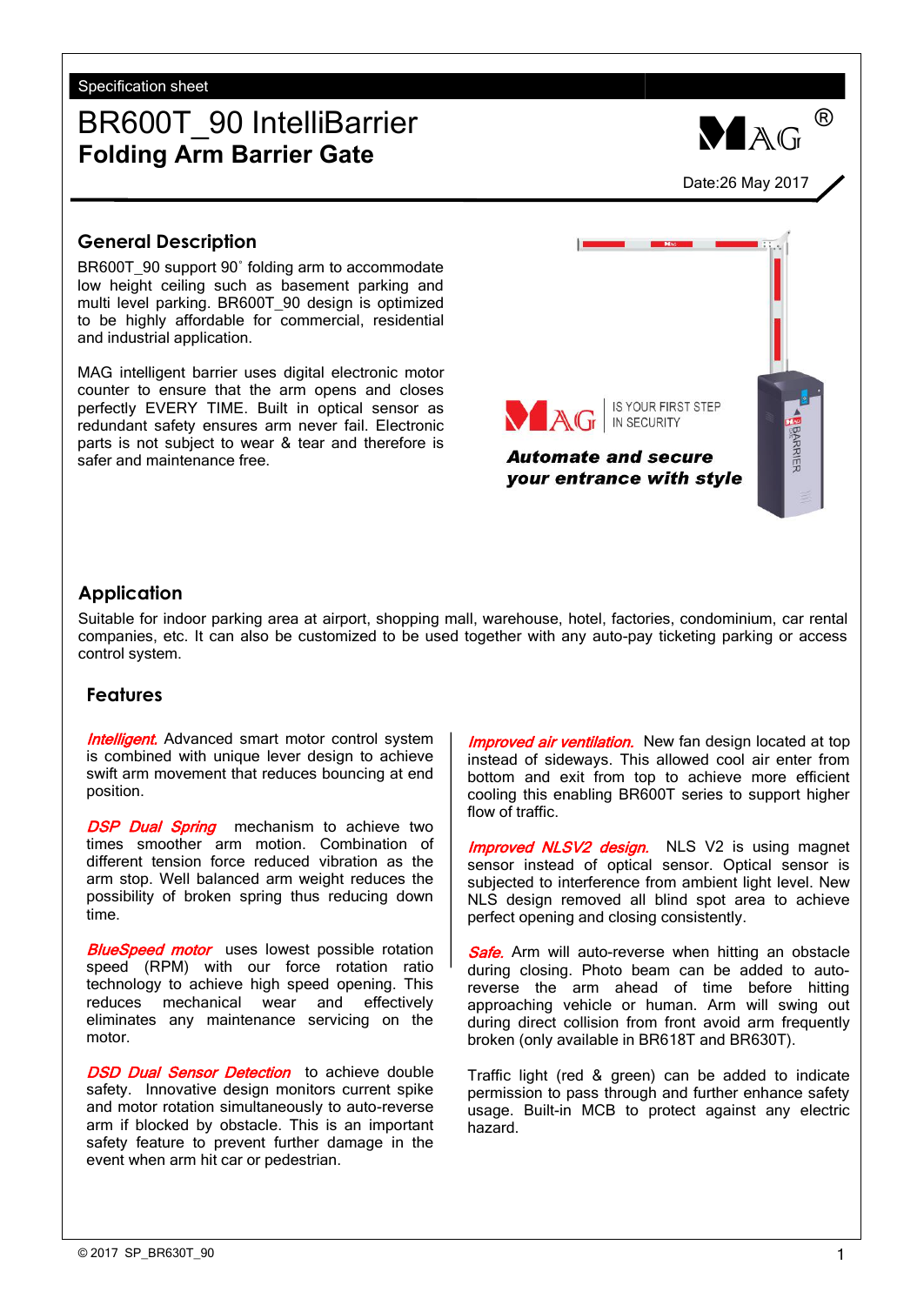Specification sheet

# BR600T\_90 IntelliBarrier **Folding Arm Barrier Gate**<br> **Folding Arm Barrier Gate**

## **General Description**

BR600T\_90 support 90° folding arm to accommodate low height ceiling such as basement parking and multi level parking. BR600T\_90 design is optimized to be highly affordable for commercial, residential and industrial application.

MAG intelligent barrier uses digital electronic motor counter to ensure that the arm opens and closes perfectly EVERY TIME. Built in optical sensor as redundant safety ensures arm never fail. Electronic parts is not subject to wear & tear and therefore is<br>safer and maintenance free safer and maintenance free.

## **Application**

Suitable for indoor parking area at airport, shopping mall, warehouse, hotel, factories, condominium, car rental companies, etc. It can also be customized to be used together with any auto-pay ticketing parking or access control system.

## **Features**

**Intelligent.** Advanced smart motor control system is combined with unique lever design to achieve swift arm movement that reduces bouncing at end position.

DSP Dual Spring mechanism to achieve two times smoother arm motion. Combination of different tension force reduced vibration as the arm stop. Well balanced arm weight reduces the possibility of broken spring thus reducing down time.

**BlueSpeed motor** uses lowest possible rotation speed (RPM) with our force rotation ratio technology to achieve high speed opening. This reduces mechanical wear and effectively eliminates any maintenance servicing on the motor.

DSD Dual Sensor Detection to achieve double safety. Innovative design monitors current spike and motor rotation simultaneously to auto-reverse arm if blocked by obstacle. This is an important safety feature to prevent further damage in the event when arm hit car or pedestrian.

Improved air ventilation. New fan design located at top instead of sideways. This allowed cool air enter from bottom and exit from top to achieve more efficient cooling this enabling BR600T series to support higher flow of traffic.

**Improved NLSV2 design.** NLS V2 is using magnet sensor instead of optical sensor. Optical sensor is subjected to interference from ambient light level. New NLS design removed all blind spot area to achieve perfect opening and closing consistently.

**Safe.** Arm will auto-reverse when hitting an obstacle during closing. Photo beam can be added to autoreverse the arm ahead of time before hitting approaching vehicle or human. Arm will swing out during direct collision from front avoid arm frequently broken (only available in BR618T and BR630T).

Traffic light (red & green) can be added to indicate permission to pass through and further enhance safety usage. Built-in MCB to protect against any electric hazard.



®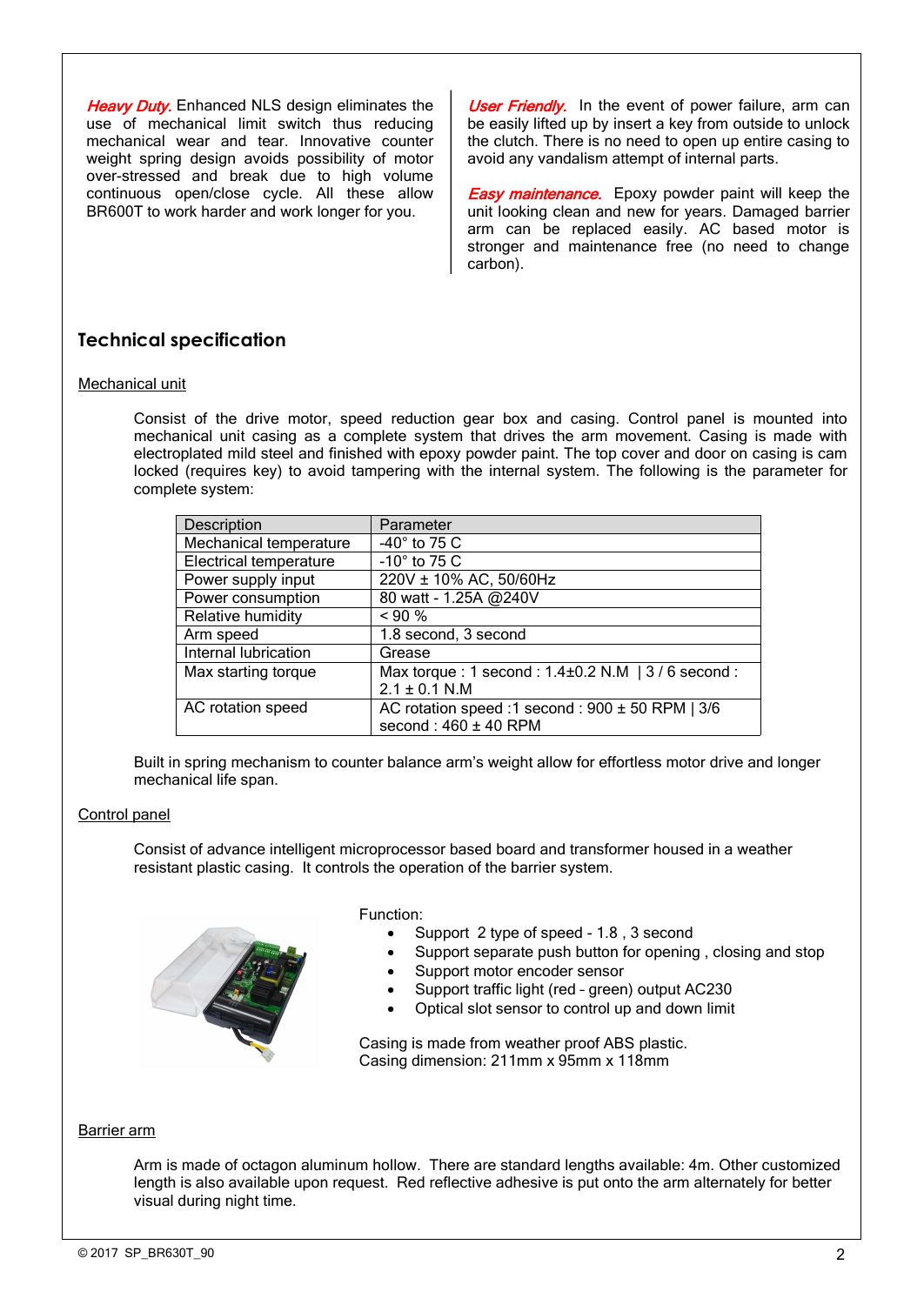use of mechanical limit switch thus reducing mechanical wear and tear. Innovative counter weight spring design avoids possibility of motor over-stressed and break due to high volume continuous open/close cycle. All these allow<br>BR600T to work harder and work longer for you. **Heavy Duty.** Enhanced NLS design eliminates the<br>use of mechanical limit switch thus reducing<br>mechanical wear and tear. Innovative counter<br>weight spring design avoids possibility of motor<br>weight spring design avoids possib

Heavy Duty. Enhanced NLS design eliminates the | User Friendly. In the event of power failure, arm can be easily lifted up by insert a key from outside to unlock the clutch. There is no need to open up entire casing to avoid any vandalism attempt of internal parts.

> **Easy maintenance.** Epoxy powder paint will keep the unit looking clean and new for years. Damaged barrier arm can be replaced easily. AC based motor is stronger and maintenance free (no need to change carbon).

## **Technical specification**

### Mechanical unit

Consist of the drive motor, speed reduction gear box and casing. Control panel is mounted into mechanical unit casing as a complete system that drives the arm movement. Casing is made with electroplated mild steel and finished with epoxy powder paint. The top cover and door on casing is cam locked (requires key) to avoid tampering with the internal system. The following is the parameter for complete system:

| Description                   | Parameter                                             |  |
|-------------------------------|-------------------------------------------------------|--|
| Mechanical temperature        | $-40^\circ$ to 75 C                                   |  |
| <b>Electrical temperature</b> | $-10^\circ$ to 75 C                                   |  |
| Power supply input            | 220V ± 10% AC, 50/60Hz                                |  |
| Power consumption             | 80 watt - 1.25A @240V                                 |  |
| Relative humidity             | $< 90\%$                                              |  |
| Arm speed                     | 1.8 second, 3 second                                  |  |
| Internal lubrication          | Grease                                                |  |
| Max starting torque           | Max torque: 1 second: $1.4\pm0.2$ N.M   3 / 6 second: |  |
|                               | $2.1 \pm 0.1$ N.M                                     |  |
| AC rotation speed             | AC rotation speed :1 second : $900 \pm 50$ RPM   3/6  |  |
|                               | second: $460 \pm 40$ RPM                              |  |

Built in spring mechanism to counter balance arm's weight allow for effortless motor drive and longer mechanical life span.

#### Control panel

Consist of advance intelligent microprocessor based board and transformer housed in a weather resistant plastic casing. It controls the operation of the barrier system.

Function:

- Support 2 type of speed 1.8, 3 second
- Support separate push button for opening , closing and stop
- Support motor encoder sensor
- Support traffic light (red green) output AC230
- Optical slot sensor to control up and down limit

Casing is made from weather proof ABS plastic. Casing dimension: 211mm x 95mm x 118mm

#### Barrier arm

Arm is made of octagon aluminum hollow. There are standard lengths available: 4m. Other customized length is also available upon request. Red reflective adhesive is put onto the arm alternately for better visual during night time.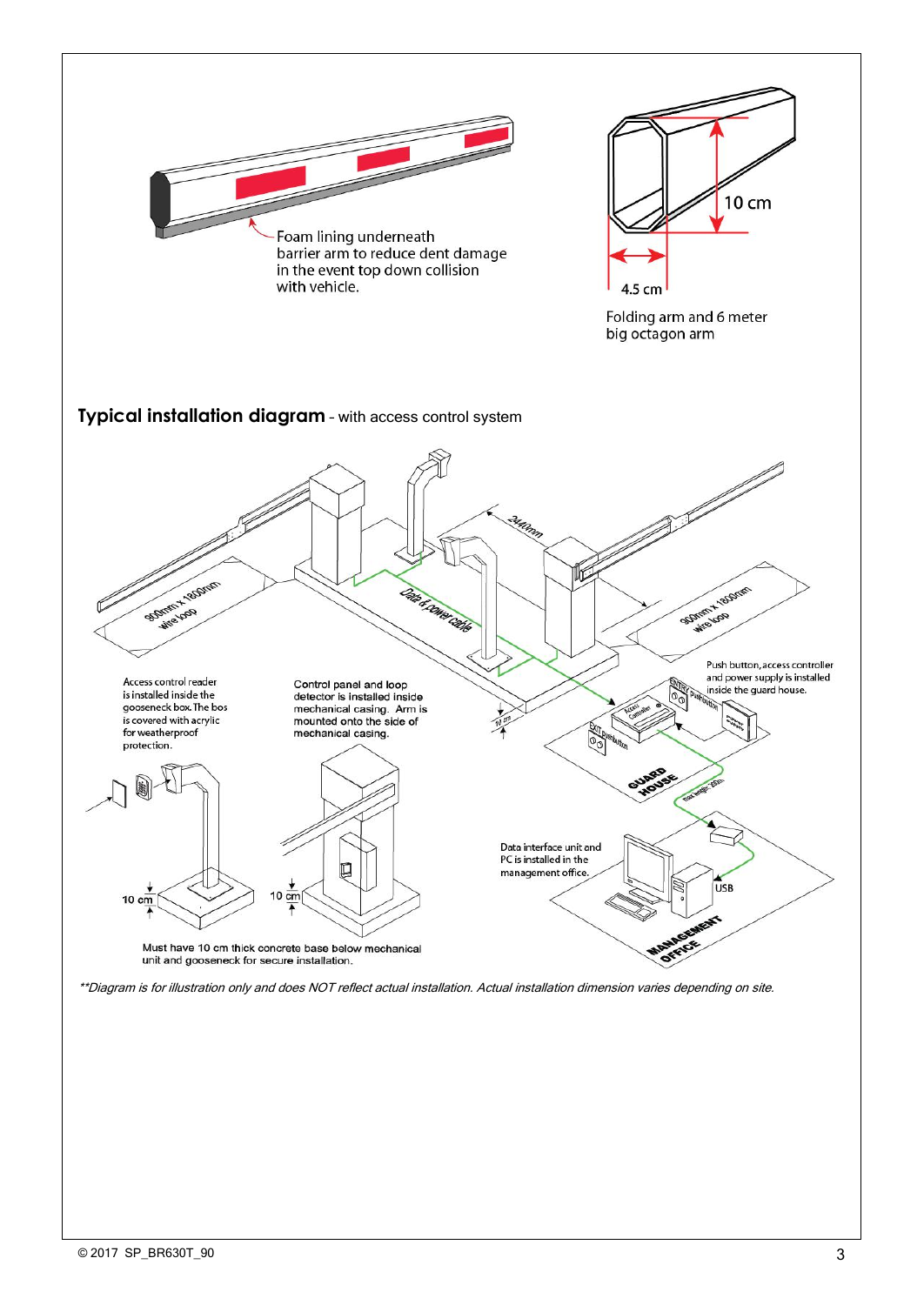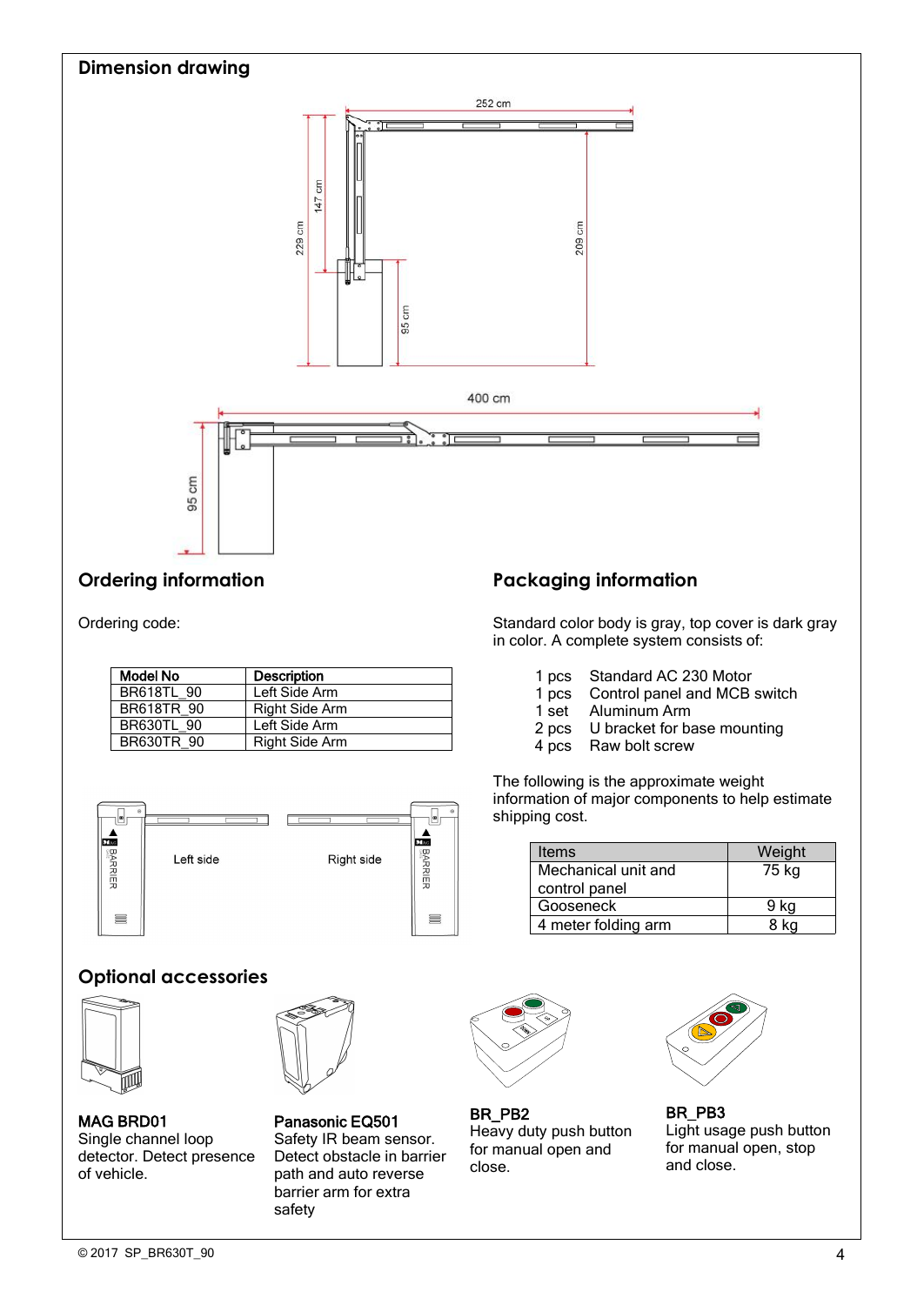

Ordering code:

| Model No          | <b>Description</b>    | pcs   |
|-------------------|-----------------------|-------|
| <b>BR618TL 90</b> | Left Side Arm         | 1 pcs |
| <b>BR618TR 90</b> | <b>Right Side Arm</b> | 1 set |
| <b>BR630TL 90</b> | Left Side Arm         | 2 pcs |
| <b>BR630TR 90</b> | <b>Right Side Arm</b> | 4 pcs |
|                   |                       |       |



## **Optional accessories**



MAG BRD01 Panasonic EQ501 Single channel loop detector. Detect presence MAG BRD01 Panasonic EQ501<br>
Single channel loop Safety IR beam sensor. Heavy duty p<br>
detector. Detect presence Detect obstacle in barrier for manual op<br>
of vehicle. path and auto reverse close.



Safety IR beam sensor. Detect obstacle in barrier lot the<br>rest and outcast response. path and auto reverse barrier arm for extra safety

Standard color body is gray, top cover is dark gray in color. A complete system consists of:

- 1 pcs Standard AC 230 Motor<br>1 pcs Control panel and MCB s
- 1 pcs Control panel and MCB switch<br>1 set Aluminum Arm
- Aluminum Arm
- 2 pcs U bracket for base mounting
- 4 pcs Raw bolt screw

The following is the approximate weight information of major components to help estimate shipping cost.

| Items                                | Weight |
|--------------------------------------|--------|
| Mechanical unit and<br>control panel | 75 kg  |
| Gooseneck                            | 9 ka   |
| 4 meter folding arm                  |        |



BR\_PB2 BR\_PB3 Heavy duty push button for manual open and



BR\_PB2 BR\_PB3<br>
Heavy duty push button Light usage push button<br>
for manual open and for manual open, stop<br>
close. and close. Light usage push button for manual open, stop and close.